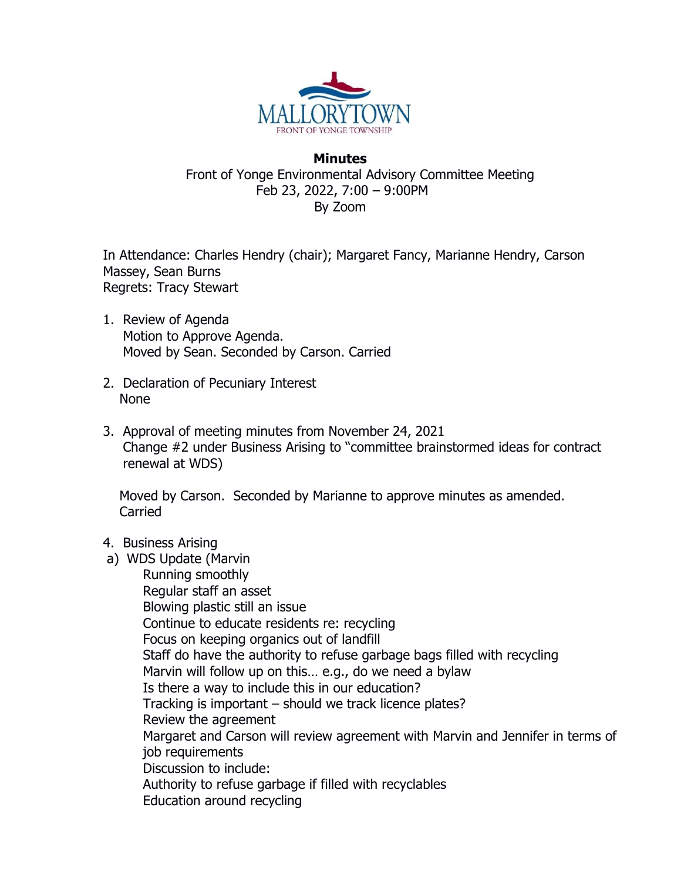

## **Minutes** Front of Yonge Environmental Advisory Committee Meeting Feb 23, 2022, 7:00 – 9:00PM By Zoom

In Attendance: Charles Hendry (chair); Margaret Fancy, Marianne Hendry, Carson Massey, Sean Burns Regrets: Tracy Stewart

- 1. Review of Agenda Motion to Approve Agenda. Moved by Sean. Seconded by Carson. Carried
- 2. Declaration of Pecuniary Interest None
- 3. Approval of meeting minutes from November 24, 2021 Change #2 under Business Arising to "committee brainstormed ideas for contract renewal at WDS)

 Moved by Carson. Seconded by Marianne to approve minutes as amended. Carried

## 4. Business Arising

a) WDS Update (Marvin

Running smoothly Regular staff an asset Blowing plastic still an issue Continue to educate residents re: recycling Focus on keeping organics out of landfill Staff do have the authority to refuse garbage bags filled with recycling Marvin will follow up on this… e.g., do we need a bylaw Is there a way to include this in our education? Tracking is important – should we track licence plates? Review the agreement Margaret and Carson will review agreement with Marvin and Jennifer in terms of job requirements Discussion to include: Authority to refuse garbage if filled with recyclables Education around recycling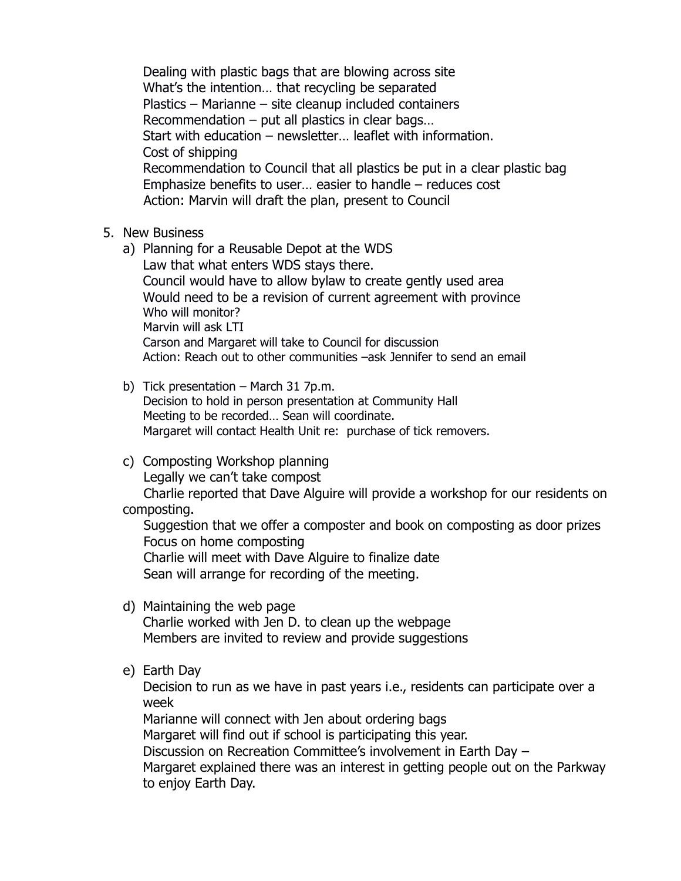Dealing with plastic bags that are blowing across site What's the intention… that recycling be separated Plastics – Marianne – site cleanup included containers Recommendation – put all plastics in clear bags… Start with education – newsletter… leaflet with information. Cost of shipping Recommendation to Council that all plastics be put in a clear plastic bag Emphasize benefits to user… easier to handle – reduces cost Action: Marvin will draft the plan, present to Council

## 5. New Business

a) Planning for a Reusable Depot at the WDS Law that what enters WDS stays there. Council would have to allow bylaw to create gently used area Would need to be a revision of current agreement with province Who will monitor? Marvin will ask LTI Carson and Margaret will take to Council for discussion Action: Reach out to other communities –ask Jennifer to send an email

## b) Tick presentation – March 31 7p.m. Decision to hold in person presentation at Community Hall Meeting to be recorded… Sean will coordinate. Margaret will contact Health Unit re: purchase of tick removers.

- c) Composting Workshop planning
	- Legally we can't take compost

 Charlie reported that Dave Alguire will provide a workshop for our residents on composting.

 Suggestion that we offer a composter and book on composting as door prizes Focus on home composting Charlie will meet with Dave Alguire to finalize date Sean will arrange for recording of the meeting.

d) Maintaining the web page

Charlie worked with Jen D. to clean up the webpage Members are invited to review and provide suggestions

e) Earth Day

Decision to run as we have in past years i.e., residents can participate over a week

Marianne will connect with Jen about ordering bags

Margaret will find out if school is participating this year.

Discussion on Recreation Committee's involvement in Earth Day –

Margaret explained there was an interest in getting people out on the Parkway to enjoy Earth Day.